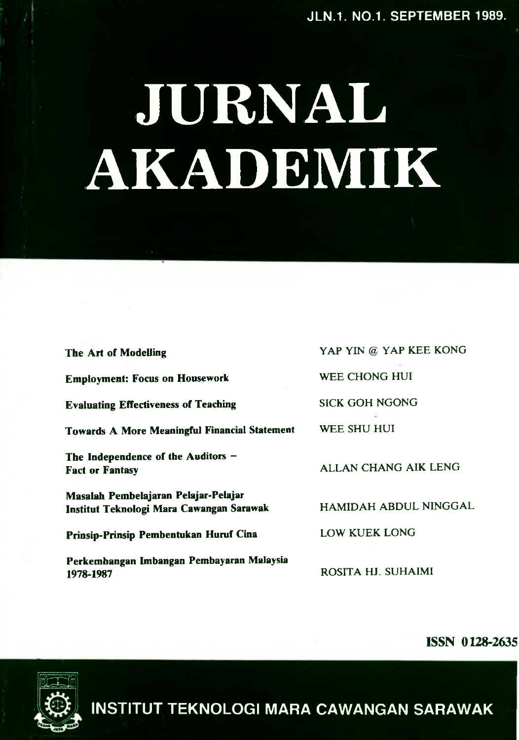# **JURNAL AKADEMIK**

| The Art of Modelling                                                             | YAP YIN @ YAP KEE KONG |
|----------------------------------------------------------------------------------|------------------------|
| <b>Employment: Focus on Housework</b>                                            | WEE CHONG HUI          |
| <b>Evaluating Effectiveness of Teaching</b>                                      | <b>SICK GOH NGONG</b>  |
| <b>Towards A More Meaningful Financial Statement</b>                             | WEE SHU HUI            |
| The Independence of the Auditors -<br><b>Fact or Fantasy</b>                     | ALLAN CHANG AIK LENG   |
| Masalah Pembelajaran Pelajar-Pelajar<br>Institut Teknologi Mara Cawangan Sarawak | HAMIDAH ABDUL NINGGAL  |
| Prinsip-Prinsip Pembentukan Huruf Cina                                           | <b>LOW KUEK LONG</b>   |
| Perkembangan Imbangan Pembayaran Malaysia<br>1978-1987                           | ROSITA HJ. SUHAIMI     |

**ISSN 0128-2635**



**INSTITUT TEKNOLOGI MARA CAWANGAN SARAWAK**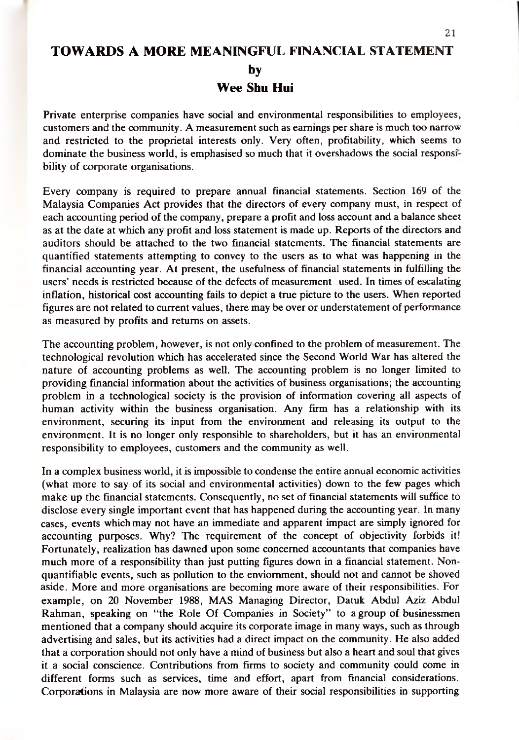# **TOWARDS A MORE MEANINGFUL FINANCIAL STATEMENT by**

**Wee Shu Hui**

Private enterprise companies have social and environmental responsibilities to employees, customers and the community. A measurement such as earnings per share is much too narrow and restricted to the proprietal interests only. Very often, profitability, which seems to dominate the business world, is emphasised so much that it overshadows the social responsibility of corporate organisations.

Every company is required to prepare annual financial statements. Section 169 of the Malaysia Companies Act provides that the directors of every company must, in respect of each accounting period of the company, prepare a profit and loss account and a balance sheet as at the date at which any profit and loss statement is made up. Reports of the directors and auditors should be attached to the two financial statements. The financial statements are quantified statements attempting to convey to the users as to what was happening in the financial accounting year. At present, the usefulness of financial statements in fulfilling the users' needs is restricted because of the defects of measurement used. In times of escalating inflation, historical cost accounting fails to depict a true picture to the users. When reported figures are not related to current values, there may be over or understatement of performance as measured by profits and returns on assets.

The accounting problem, however, is not only confined to the problem of measurement. The technological revolution which has accelerated since the Second World War has altered the nature of accounting problems as well. The accounting problem is no longer limited to providing financial information about the activities of business organisations; the accounting problem in a technological society is the provision of information covering all aspects of human activity within the business organisation. Any firm has a relationship with its environment, securing its input from the environment and releasing its output to the environment. It is no longer only responsible to shareholders, but it has an environmental responsibility to employees, customers and the community as well.

In a complex business world, it is impossible to condense the entire annual economic activities (what more to say of its social and environmental activities) down to the few pages which make up the financial statements. Consequently, no set of financial statements will suffice to disclose every single important event that has happened during the accounting year. In many cases, events which may not have an immediate and apparent impact are simply ignored for accounting purposes. Why? The requirement of the concept of objectivity forbids it! Fortunately, realization has dawned upon some concerned accountants that companies have much more of a responsibility than just putting figures down in a financial statement. Nonquantifiable events, such as pollution to the enviomment, should not and cannot be shoved aside. More and more organisations are becoming more aware of their responsibilities. For example, on 20 November 1988, MAS Managing Director, Datuk Abdul Aziz Abdul Rahman, speaking on "the Role Of Companies in Society" to a group of businessmen mentioned that a company should acquire its corporate image in many ways, such as through advertising and sales, but its activities had a direct impact on the community. He also added that a corporation should not only have a mind of business but also a heart and soul that gives it a social conscience. Contributions from firms to society and community could come in different forms such as services, time and effort, apart from financial considerations. Corporations in Malaysia are now more aware of their social responsibilities in supporting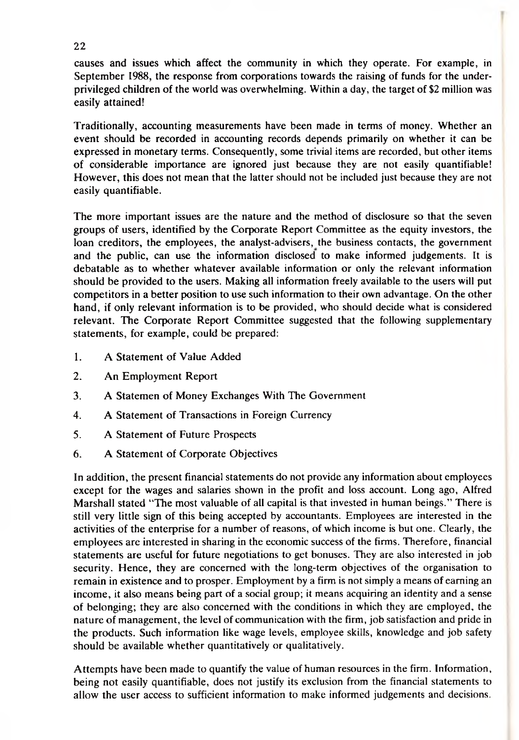causes and issues which affect the community in which they operate. For example, in September 1988, the response from corporations towards the raising of funds for the underprivileged children of the world was overwhelming. Within a day, the target of \$2 million was easily attained!

Traditionally, accounting measurements have been made in terms of money. Whether an event should be recorded in accounting records depends primarily on whether it can be expressed in monetary terms. Consequently, some trivial items are recorded, but other items of considerable importance are ignored just because they are not easily quantifiable! However, this does not mean that the latter should not be included just because they are not easily quantifiable.

The more important issues are the nature and the method of disclosure so that the seven groups of users, identified by the Corporate Report Committee as the equity investors, the loan creditors, the employees, the analyst-advisers, the business contacts, the government and the public, can use the information disclosed to make informed judgements. It is debatable as to whether whatever available information or only the relevant information should be provided to the users. Making all information freely available to the users will put competitors in a better position to use such information to their own advantage. On the other hand, if only relevant information is to be provided, who should decide what is considered relevant. The Corporate Report Committee suggested that the following supplementary statements, for example, could be prepared:

- 1. A Statement of Value Added
- 2. An Employment Report
- 3. A Statemen of Money Exchanges With The Government
- 4. A Statement of Transactions in Foreign Currency
- 5. A Statement of Future Prospects
- 6. A Statement of Corporate Objectives

In addition, the present financial statements do not provide any information about employees except for the wages and salaries shown in the profit and loss account. Long ago, Alfred Marshall stated "The most valuable of all capital is that invested in human beings." There is still very little sign of this being accepted by accountants. Employees are interested in the activities of the enterprise for a number of reasons, of which income is but one. Clearly, the employees are interested in sharing in the economic success of the firms. Therefore, financial statements are useful for future negotiations to get bonuses. They are also interested in job security. Hence, they are concerned with the long-term objectives of the organisation to remain in existence and to prosper. Employment by a firm is not simply a means of earning an income, it also means being part of a social group; it means acquiring an identity and a sense of belonging; they are also concerned with the conditions in which they are employed, the nature of management, the level of communication with the firm, job satisfaction and pride in the products. Such information like wage levels, employee skills, knowledge and job safety should be available whether quantitatively or qualitatively.

Attempts have been made to quantify the value of human resources in the firm. Information, being not easily quantifiable, does not justify its exclusion from the financial statements to allow the user access to sufficient information to make informed judgements and decisions.

22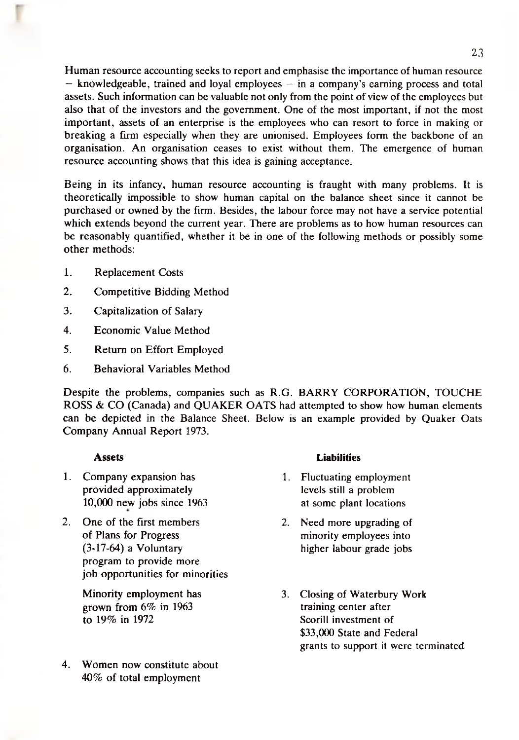Human resource accounting seeks to report and emphasise the importance of human resource  $-$  knowledgeable, trained and loyal employees  $-$  in a company's earning process and total assets. Such information can be valuable not only from the point of view of the employees but also that of the investors and the government. One of the most important, if not the most important, assets of an enterprise is the employees who can resort to force in making or breaking a firm especially when they are unionised. Employees form the backbone of an organisation. An organisation ceases to exist without them. The emergence of human resource accounting shows that this idea is gaining acceptance.

Being in its infancy, human resource accounting is fraught with many problems. It is theoretically impossible to show human capital on the balance sheet since it cannot be purchased or owned by the firm. Besides, the labour force may not have a service potential which extends beyond the current year. There are problems as to how human resources can be reasonably quantified, whether it be in one of the following methods or possibly some other methods:

- 1. Replacement Costs
- 2. Competitive Bidding Method
- 3. Capitalization of Salary
- 4. Economic Value Method
- 5. Return on Effort Employed
- 6. Behavioral Variables Method

Despite the problems, companies such as R.G. BARRY CORPORATION, TOUCHE ROSS & CO (Canada) and QUAKER OATS had attempted to show how human elements can be depicted in the Balance Sheet. Below is an example provided by Quaker Oats Company Annual Report 1973.

# **Assets**

- 1. Company expansion has provided approximately 10,000 new jobs since 1963
- 2. One of the first members of Plans for Progress (3-17-64) a Voluntary program to provide more job opportunities for minorities

Minority employment has grown from 6% in 1963 to 19% in 1972

4. Women now constitute about 40% of total employment

#### **Liabilities**

- 1. Fluctuating employment levels still a problem at some plant locations
- 2. Need more upgrading of minority employees into higher labour grade jobs
- 3. Closing of Waterbury Work training center after Scorill investment of \$33,000 State and Federal grants to support it were terminated